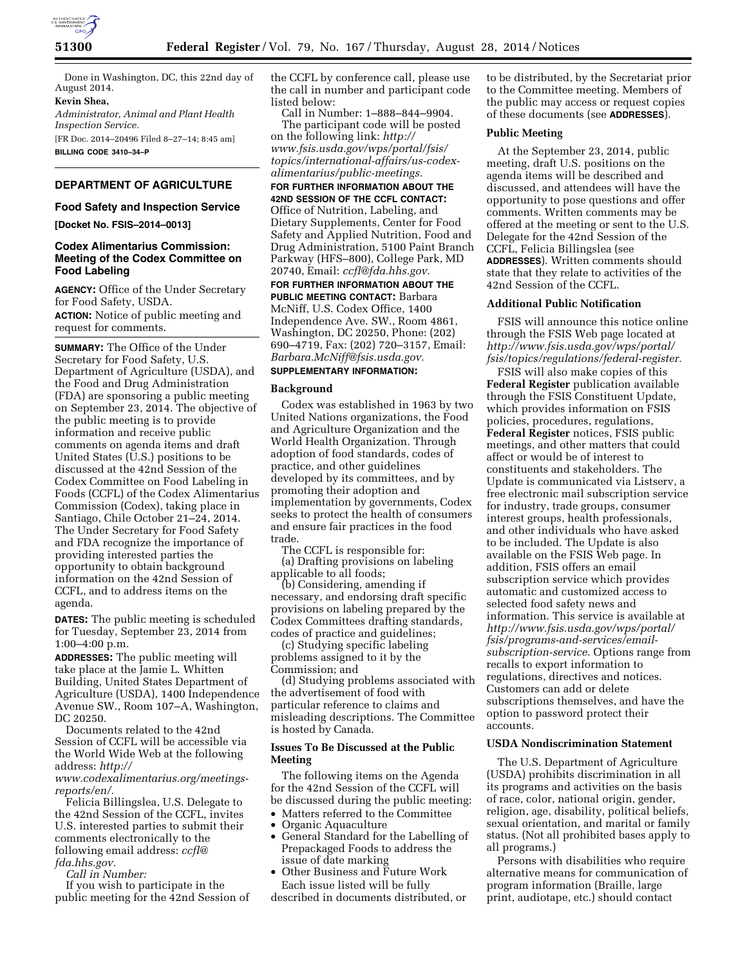

Done in Washington, DC, this 22nd day of August 2014.

# **Kevin Shea,**

*Administrator, Animal and Plant Health Inspection Service.*  [FR Doc. 2014–20496 Filed 8–27–14; 8:45 am]

**BILLING CODE 3410–34–P** 

# **DEPARTMENT OF AGRICULTURE**

## **Food Safety and Inspection Service**

**[Docket No. FSIS–2014–0013]** 

#### **Codex Alimentarius Commission: Meeting of the Codex Committee on Food Labeling**

**AGENCY:** Office of the Under Secretary for Food Safety, USDA. **ACTION:** Notice of public meeting and request for comments.

**SUMMARY:** The Office of the Under Secretary for Food Safety, U.S. Department of Agriculture (USDA), and the Food and Drug Administration (FDA) are sponsoring a public meeting on September 23, 2014. The objective of the public meeting is to provide information and receive public comments on agenda items and draft United States (U.S.) positions to be discussed at the 42nd Session of the Codex Committee on Food Labeling in Foods (CCFL) of the Codex Alimentarius Commission (Codex), taking place in Santiago, Chile October 21–24, 2014. The Under Secretary for Food Safety and FDA recognize the importance of providing interested parties the opportunity to obtain background information on the 42nd Session of CCFL, and to address items on the agenda.

**DATES:** The public meeting is scheduled for Tuesday, September 23, 2014 from 1:00–4:00 p.m.

**ADDRESSES:** The public meeting will take place at the Jamie L. Whitten Building, United States Department of Agriculture (USDA), 1400 Independence Avenue SW., Room 107–A, Washington, DC 20250.

Documents related to the 42nd Session of CCFL will be accessible via the World Wide Web at the following address: *[http://](http://www.codexalimentarius.org/meetings-reports/en/)*

*[www.codexalimentarius.org/meetings](http://www.codexalimentarius.org/meetings-reports/en/)[reports/en/.](http://www.codexalimentarius.org/meetings-reports/en/)* 

Felicia Billingslea, U.S. Delegate to the 42nd Session of the CCFL, invites U.S. interested parties to submit their comments electronically to the following email address: *[ccfl@](mailto:ccfl@fda.hhs.gov) [fda.hhs.gov.](mailto:ccfl@fda.hhs.gov)* 

*Call in Number:* 

If you wish to participate in the public meeting for the 42nd Session of the CCFL by conference call, please use the call in number and participant code listed below:

Call in Number: 1–888–844–9904. The participant code will be posted on the following link: *[http://](http://www.fsis.usda.gov/wps/portal/fsis/topics/international-affairs/us-codex-alimentarius/public-meetings) [www.fsis.usda.gov/wps/portal/fsis/](http://www.fsis.usda.gov/wps/portal/fsis/topics/international-affairs/us-codex-alimentarius/public-meetings) [topics/international-affairs/us-codex](http://www.fsis.usda.gov/wps/portal/fsis/topics/international-affairs/us-codex-alimentarius/public-meetings)[alimentarius/public-meetings.](http://www.fsis.usda.gov/wps/portal/fsis/topics/international-affairs/us-codex-alimentarius/public-meetings)* 

**FOR FURTHER INFORMATION ABOUT THE 42ND SESSION OF THE CCFL CONTACT:**  Office of Nutrition, Labeling, and Dietary Supplements, Center for Food Safety and Applied Nutrition, Food and Drug Administration, 5100 Paint Branch Parkway (HFS–800), College Park, MD 20740, Email: *[ccfl@fda.hhs.gov.](mailto:ccfl@fda.hhs.gov)* 

**FOR FURTHER INFORMATION ABOUT THE PUBLIC MEETING CONTACT:** Barbara McNiff, U.S. Codex Office, 1400 Independence Ave. SW., Room 4861, Washington, DC 20250, Phone: (202) 690–4719, Fax: (202) 720–3157, Email: *[Barbara.McNiff@fsis.usda.gov.](mailto:Barbara.McNiff@fsis.usda.gov)*  **SUPPLEMENTARY INFORMATION:** 

## **Background**

Codex was established in 1963 by two United Nations organizations, the Food and Agriculture Organization and the World Health Organization. Through adoption of food standards, codes of practice, and other guidelines developed by its committees, and by promoting their adoption and implementation by governments, Codex seeks to protect the health of consumers and ensure fair practices in the food trade.

The CCFL is responsible for: (a) Drafting provisions on labeling applicable to all foods;

(b) Considering, amending if necessary, and endorsing draft specific provisions on labeling prepared by the Codex Committees drafting standards, codes of practice and guidelines;

(c) Studying specific labeling problems assigned to it by the Commission; and

(d) Studying problems associated with the advertisement of food with particular reference to claims and misleading descriptions. The Committee is hosted by Canada.

#### **Issues To Be Discussed at the Public Meeting**

The following items on the Agenda for the 42nd Session of the CCFL will be discussed during the public meeting:

- Matters referred to the Committee
- Organic Aquaculture
- General Standard for the Labelling of Prepackaged Foods to address the issue of date marking
- Other Business and Future Work Each issue listed will be fully

described in documents distributed, or

to be distributed, by the Secretariat prior to the Committee meeting. Members of the public may access or request copies of these documents (see **ADDRESSES**).

#### **Public Meeting**

At the September 23, 2014, public meeting, draft U.S. positions on the agenda items will be described and discussed, and attendees will have the opportunity to pose questions and offer comments. Written comments may be offered at the meeting or sent to the U.S. Delegate for the 42nd Session of the CCFL, Felicia Billingslea (see **ADDRESSES**). Written comments should state that they relate to activities of the 42nd Session of the CCFL.

# **Additional Public Notification**

FSIS will announce this notice online through the FSIS Web page located at *[http://www.fsis.usda.gov/wps/portal/](http://www.fsis.usda.gov/wps/portal/fsis/topics/regulations/federal-register) [fsis/topics/regulations/federal-register.](http://www.fsis.usda.gov/wps/portal/fsis/topics/regulations/federal-register)* 

FSIS will also make copies of this **Federal Register** publication available through the FSIS Constituent Update, which provides information on FSIS policies, procedures, regulations, **Federal Register** notices, FSIS public meetings, and other matters that could affect or would be of interest to constituents and stakeholders. The Update is communicated via Listserv, a free electronic mail subscription service for industry, trade groups, consumer interest groups, health professionals, and other individuals who have asked to be included. The Update is also available on the FSIS Web page. In addition, FSIS offers an email subscription service which provides automatic and customized access to selected food safety news and information. This service is available at *[http://www.fsis.usda.gov/wps/portal/](http://www.fsis.usda.gov/wps/portal/fsis/programs-and-services/email-subscription-service) [fsis/programs-and-services/email](http://www.fsis.usda.gov/wps/portal/fsis/programs-and-services/email-subscription-service)[subscription-service.](http://www.fsis.usda.gov/wps/portal/fsis/programs-and-services/email-subscription-service)* Options range from recalls to export information to regulations, directives and notices. Customers can add or delete subscriptions themselves, and have the option to password protect their accounts.

#### **USDA Nondiscrimination Statement**

The U.S. Department of Agriculture (USDA) prohibits discrimination in all its programs and activities on the basis of race, color, national origin, gender, religion, age, disability, political beliefs, sexual orientation, and marital or family status. (Not all prohibited bases apply to all programs.)

Persons with disabilities who require alternative means for communication of program information (Braille, large print, audiotape, etc.) should contact